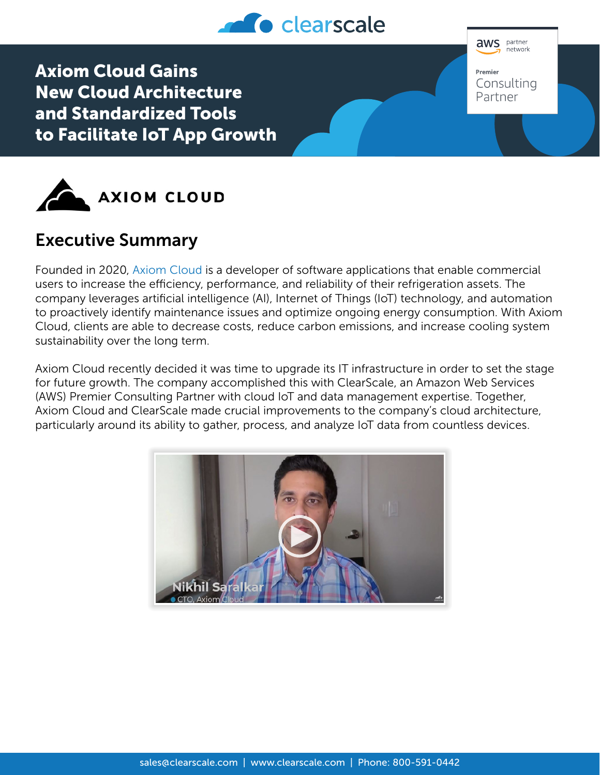

**aws** partner .<br>network

Consulting Partner

Premier

Axiom Cloud Gains New Cloud Architecture and Standardized Tools to Facilitate IoT App Growth



## Executive Summary

Founded in 2020, [Axiom Cloud](https://www.axiomcloud.ai/) is a developer of software applications that enable commercial users to increase the efficiency, performance, and reliability of their refrigeration assets. The company leverages artificial intelligence (AI), Internet of Things (IoT) technology, and automation to proactively identify maintenance issues and optimize ongoing energy consumption. With Axiom Cloud, clients are able to decrease costs, reduce carbon emissions, and increase cooling system sustainability over the long term.

Axiom Cloud recently decided it was time to upgrade its IT infrastructure in order to set the stage for future growth. The company accomplished this with ClearScale, an Amazon Web Services (AWS) Premier Consulting Partner with cloud IoT and data management expertise. Together, Axiom Cloud and ClearScale made crucial improvements to the company's cloud architecture, particularly around its ability to gather, process, and analyze IoT data from countless devices.

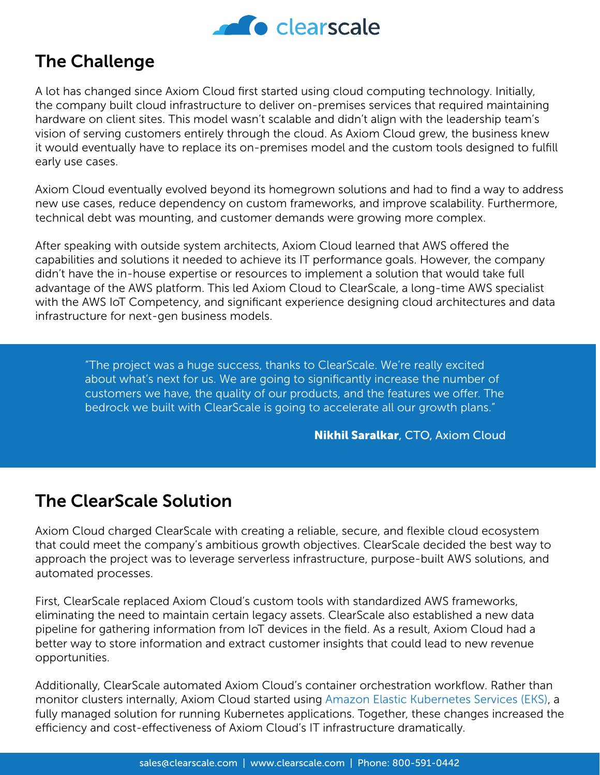

## The Challenge

A lot has changed since Axiom Cloud first started using cloud computing technology. Initially, the company built cloud infrastructure to deliver on-premises services that required maintaining hardware on client sites. This model wasn't scalable and didn't align with the leadership team's vision of serving customers entirely through the cloud. As Axiom Cloud grew, the business knew it would eventually have to replace its on-premises model and the custom tools designed to fulfill early use cases.

Axiom Cloud eventually evolved beyond its homegrown solutions and had to find a way to address new use cases, reduce dependency on custom frameworks, and improve scalability. Furthermore, technical debt was mounting, and customer demands were growing more complex.

After speaking with outside system architects, Axiom Cloud learned that AWS offered the capabilities and solutions it needed to achieve its IT performance goals. However, the company didn't have the in-house expertise or resources to implement a solution that would take full advantage of the AWS platform. This led Axiom Cloud to ClearScale, a long-time AWS specialist with the AWS IoT Competency, and significant experience designing cloud architectures and data infrastructure for next-gen business models.

"The project was a huge success, thanks to ClearScale. We're really excited about what's next for us. We are going to significantly increase the number of customers we have, the quality of our products, and the features we offer. The bedrock we built with ClearScale is going to accelerate all our growth plans."

Nikhil Saralkar, CTO, Axiom Cloud

## The ClearScale Solution

Axiom Cloud charged ClearScale with creating a reliable, secure, and flexible cloud ecosystem that could meet the company's ambitious growth objectives. ClearScale decided the best way to approach the project was to leverage serverless infrastructure, purpose-built AWS solutions, and automated processes.

First, ClearScale replaced Axiom Cloud's custom tools with standardized AWS frameworks, eliminating the need to maintain certain legacy assets. ClearScale also established a new data pipeline for gathering information from IoT devices in the field. As a result, Axiom Cloud had a better way to store information and extract customer insights that could lead to new revenue opportunities.

Additionally, ClearScale automated Axiom Cloud's container orchestration workflow. Rather than monitor clusters internally, Axiom Cloud started using [Amazon Elastic Kubernetes Services \(EKS\)](https://aws.amazon.com/eks/), a fully managed solution for running Kubernetes applications. Together, these changes increased the efficiency and cost-effectiveness of Axiom Cloud's IT infrastructure dramatically.